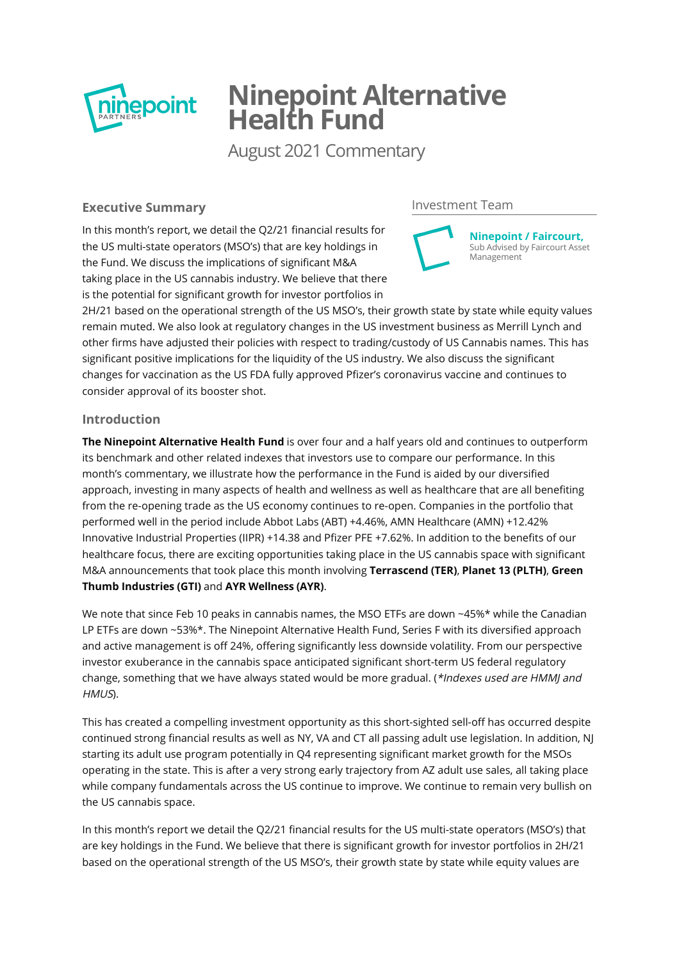

# **Ninepoint Alternative Health Fund**

August 2021 Commentary

# **Executive Summary**

In this month's report, we detail the Q2/21 financial results for the US multi-state operators (MSO's) that are key holdings in the Fund. We discuss the implications of significant M&A taking place in the US cannabis industry. We believe that there is the potential for significant growth for investor portfolios in

## Investment Team



2H/21 based on the operational strength of the US MSO's, their growth state by state while equity values remain muted. We also look at regulatory changes in the US investment business as Merrill Lynch and other firms have adjusted their policies with respect to trading/custody of US Cannabis names. This has significant positive implications for the liquidity of the US industry. We also discuss the significant changes for vaccination as the US FDA fully approved Pfizer's coronavirus vaccine and continues to consider approval of its booster shot.

# **Introduction**

**The Ninepoint Alternative Health Fund** is over four and a half years old and continues to outperform its benchmark and other related indexes that investors use to compare our performance. In this month's commentary, we illustrate how the performance in the Fund is aided by our diversified approach, investing in many aspects of health and wellness as well as healthcare that are all benefiting from the re-opening trade as the US economy continues to re-open. Companies in the portfolio that performed well in the period include Abbot Labs (ABT) +4.46%, AMN Healthcare (AMN) +12.42% Innovative Industrial Properties (IIPR) +14.38 and Pfizer PFE +7.62%. In addition to the benefits of our healthcare focus, there are exciting opportunities taking place in the US cannabis space with significant M&A announcements that took place this month involving **Terrascend (TER)**, **Planet 13 (PLTH)**, **Green Thumb Industries (GTI)** and **AYR Wellness (AYR)**.

We note that since Feb 10 peaks in cannabis names, the MSO ETFs are down ~45%\* while the Canadian LP ETFs are down ~53%\*. The Ninepoint Alternative Health Fund, Series F with its diversified approach and active management is off 24%, offering significantly less downside volatility. From our perspective investor exuberance in the cannabis space anticipated significant short-term US federal regulatory change, something that we have always stated would be more gradual. (\*Indexes used are HMMJ and HMUS).

This has created a compelling investment opportunity as this short-sighted sell-off has occurred despite continued strong financial results as well as NY, VA and CT all passing adult use legislation. In addition, NJ starting its adult use program potentially in Q4 representing significant market growth for the MSOs operating in the state. This is after a very strong early trajectory from AZ adult use sales, all taking place while company fundamentals across the US continue to improve. We continue to remain very bullish on the US cannabis space.

In this month's report we detail the Q2/21 financial results for the US multi-state operators (MSO's) that are key holdings in the Fund. We believe that there is significant growth for investor portfolios in 2H/21 based on the operational strength of the US MSO's, their growth state by state while equity values are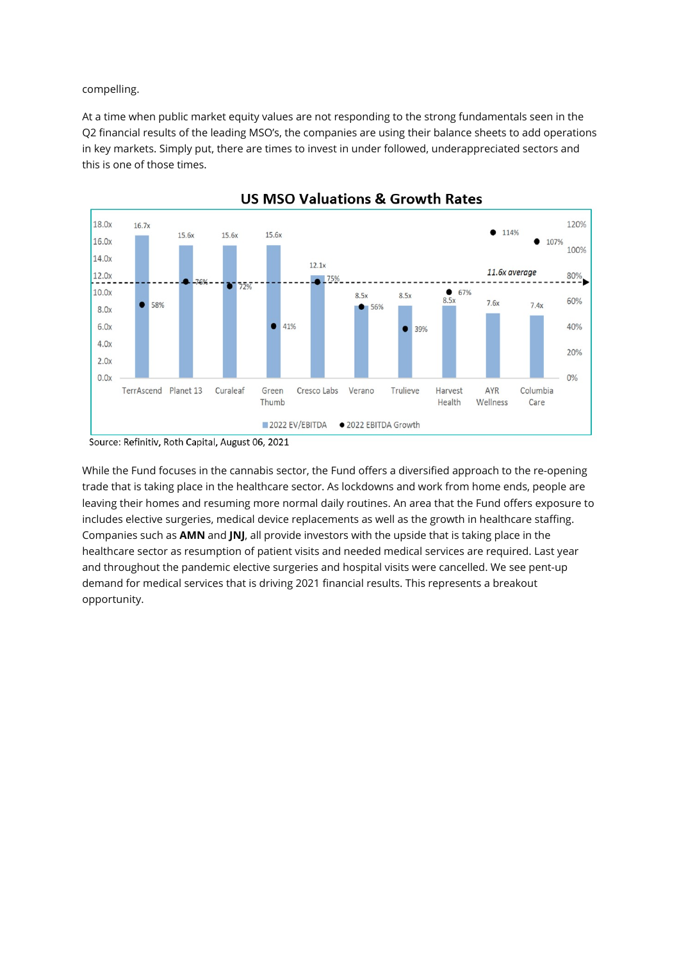compelling.

At a time when public market equity values are not responding to the strong fundamentals seen in the Q2 financial results of the leading MSO's, the companies are using their balance sheets to add operations in key markets. Simply put, there are times to invest in under followed, underappreciated sectors and this is one of those times.



**US MSO Valuations & Growth Rates** 

Source: Refinitiv, Roth Capital, August 06, 2021

While the Fund focuses in the cannabis sector, the Fund offers a diversified approach to the re-opening trade that is taking place in the healthcare sector. As lockdowns and work from home ends, people are leaving their homes and resuming more normal daily routines. An area that the Fund offers exposure to includes elective surgeries, medical device replacements as well as the growth in healthcare staffing. Companies such as **AMN** and **JNJ**, all provide investors with the upside that is taking place in the healthcare sector as resumption of patient visits and needed medical services are required. Last year and throughout the pandemic elective surgeries and hospital visits were cancelled. We see pent-up demand for medical services that is driving 2021 financial results. This represents a breakout opportunity.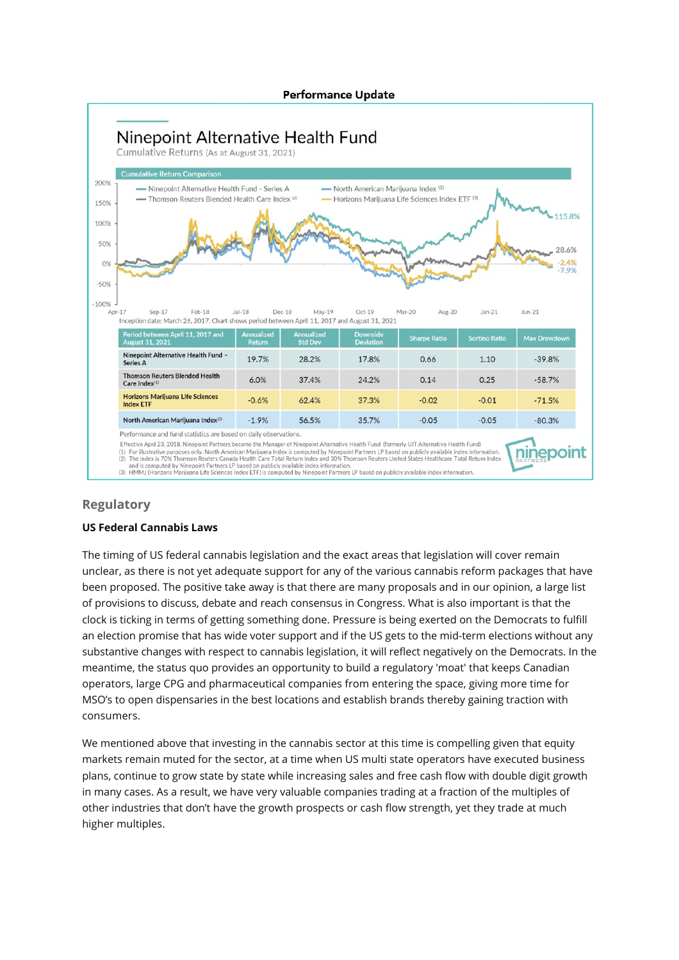

# **Regulatory**

#### **US Federal Cannabis Laws**

The timing of US federal cannabis legislation and the exact areas that legislation will cover remain unclear, as there is not yet adequate support for any of the various cannabis reform packages that have been proposed. The positive take away is that there are many proposals and in our opinion, a large list of provisions to discuss, debate and reach consensus in Congress. What is also important is that the clock is ticking in terms of getting something done. Pressure is being exerted on the Democrats to fulfill an election promise that has wide voter support and if the US gets to the mid-term elections without any substantive changes with respect to cannabis legislation, it will reflect negatively on the Democrats. In the meantime, the status quo provides an opportunity to build a regulatory 'moat' that keeps Canadian operators, large CPG and pharmaceutical companies from entering the space, giving more time for MSO's to open dispensaries in the best locations and establish brands thereby gaining traction with consumers.

We mentioned above that investing in the cannabis sector at this time is compelling given that equity markets remain muted for the sector, at a time when US multi state operators have executed business plans, continue to grow state by state while increasing sales and free cash flow with double digit growth in many cases. As a result, we have very valuable companies trading at a fraction of the multiples of other industries that don't have the growth prospects or cash flow strength, yet they trade at much higher multiples.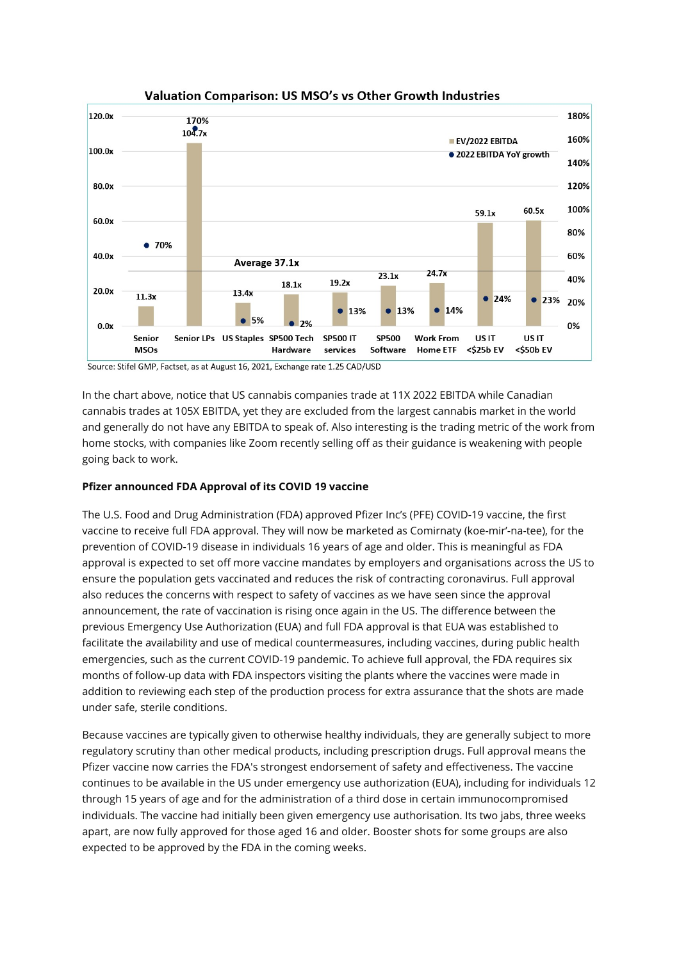

## Valuation Comparison: US MSO's vs Other Growth Industries

Source: Stifel GMP, Factset, as at August 16, 2021, Exchange rate 1.25 CAD/USD

In the chart above, notice that US cannabis companies trade at 11X 2022 EBITDA while Canadian cannabis trades at 105X EBITDA, yet they are excluded from the largest cannabis market in the world and generally do not have any EBITDA to speak of. Also interesting is the trading metric of the work from home stocks, with companies like Zoom recently selling off as their guidance is weakening with people going back to work.

## **Pfizer announced FDA Approval of its COVID 19 vaccine**

The U.S. Food and Drug Administration (FDA) approved Pfizer Inc's (PFE) COVID-19 vaccine, the first vaccine to receive full FDA approval. They will now be marketed as Comirnaty (koe-mir'-na-tee), for the prevention of COVID-19 disease in individuals 16 years of age and older. This is meaningful as FDA approval is expected to set off more vaccine mandates by employers and organisations across the US to ensure the population gets vaccinated and reduces the risk of contracting coronavirus. Full approval also reduces the concerns with respect to safety of vaccines as we have seen since the approval announcement, the rate of vaccination is rising once again in the US. The difference between the previous Emergency Use Authorization (EUA) and full FDA approval is that EUA was established to facilitate the availability and use of medical countermeasures, including vaccines, during public health emergencies, such as the current COVID-19 pandemic. To achieve full approval, the FDA requires six months of follow-up data with FDA inspectors visiting the plants where the vaccines were made in addition to reviewing each step of the production process for extra assurance that the shots are made under safe, sterile conditions.

Because vaccines are typically given to otherwise healthy individuals, they are generally subject to more regulatory scrutiny than other medical products, including prescription drugs. Full approval means the Pfizer vaccine now carries the FDA's strongest endorsement of safety and effectiveness. The vaccine continues to be available in the US under emergency use authorization (EUA), including for individuals 12 through 15 years of age and for the administration of a third dose in certain immunocompromised individuals. The vaccine had initially been given emergency use authorisation. Its two jabs, three weeks apart, are now fully approved for those aged 16 and older. Booster shots for some groups are also expected to be approved by the FDA in the coming weeks.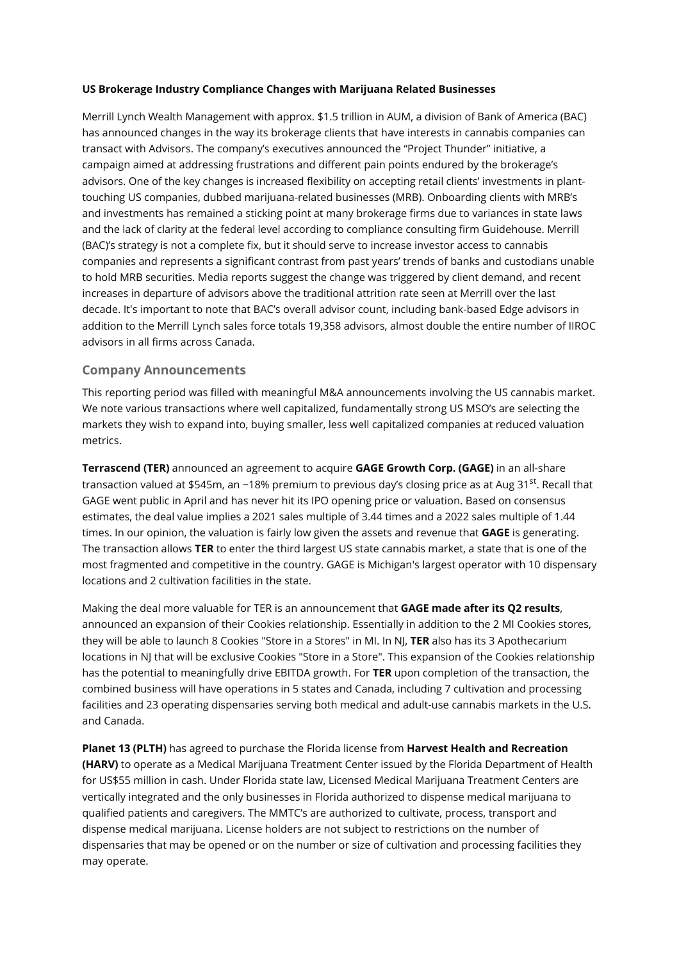#### **US Brokerage Industry Compliance Changes with Marijuana Related Businesses**

Merrill Lynch Wealth Management with approx. \$1.5 trillion in AUM, a division of Bank of America (BAC) has announced changes in the way its brokerage clients that have interests in cannabis companies can transact with Advisors. The company's executives announced the "Project Thunder" initiative, a campaign aimed at addressing frustrations and different pain points endured by the brokerage's advisors. One of the key changes is increased flexibility on accepting retail clients' investments in planttouching US companies, dubbed marijuana-related businesses (MRB). Onboarding clients with MRB's and investments has remained a sticking point at many brokerage firms due to variances in state laws and the lack of clarity at the federal level according to compliance consulting firm Guidehouse. Merrill (BAC)'s strategy is not a complete fix, but it should serve to increase investor access to cannabis companies and represents a significant contrast from past years' trends of banks and custodians unable to hold MRB securities. Media reports suggest the change was triggered by client demand, and recent increases in departure of advisors above the traditional attrition rate seen at Merrill over the last decade. It's important to note that BAC's overall advisor count, including bank-based Edge advisors in addition to the Merrill Lynch sales force totals 19,358 advisors, almost double the entire number of IIROC advisors in all firms across Canada.

## **Company Announcements**

This reporting period was filled with meaningful M&A announcements involving the US cannabis market. We note various transactions where well capitalized, fundamentally strong US MSO's are selecting the markets they wish to expand into, buying smaller, less well capitalized companies at reduced valuation metrics.

**Terrascend (TER)** announced an agreement to acquire **GAGE Growth Corp. (GAGE)** in an all-share transaction valued at \$545m, an ~18% premium to previous day's closing price as at Aug 31<sup>st</sup>. Recall that GAGE went public in April and has never hit its IPO opening price or valuation. Based on consensus estimates, the deal value implies a 2021 sales multiple of 3.44 times and a 2022 sales multiple of 1.44 times. In our opinion, the valuation is fairly low given the assets and revenue that **GAGE** is generating. The transaction allows **TER** to enter the third largest US state cannabis market, a state that is one of the most fragmented and competitive in the country. GAGE is Michigan's largest operator with 10 dispensary locations and 2 cultivation facilities in the state.

Making the deal more valuable for TER is an announcement that **GAGE made after its Q2 results**, announced an expansion of their Cookies relationship. Essentially in addition to the 2 MI Cookies stores, they will be able to launch 8 Cookies "Store in a Stores" in MI. In NJ, **TER** also has its 3 Apothecarium locations in NJ that will be exclusive Cookies "Store in a Store". This expansion of the Cookies relationship has the potential to meaningfully drive EBITDA growth. For **TER** upon completion of the transaction, the combined business will have operations in 5 states and Canada, including 7 cultivation and processing facilities and 23 operating dispensaries serving both medical and adult-use cannabis markets in the U.S. and Canada.

**Planet 13 (PLTH)** has agreed to purchase the Florida license from **Harvest Health and Recreation (HARV)** to operate as a Medical Marijuana Treatment Center issued by the Florida Department of Health for US\$55 million in cash. Under Florida state law, Licensed Medical Marijuana Treatment Centers are vertically integrated and the only businesses in Florida authorized to dispense medical marijuana to qualified patients and caregivers. The MMTC's are authorized to cultivate, process, transport and dispense medical marijuana. License holders are not subject to restrictions on the number of dispensaries that may be opened or on the number or size of cultivation and processing facilities they may operate.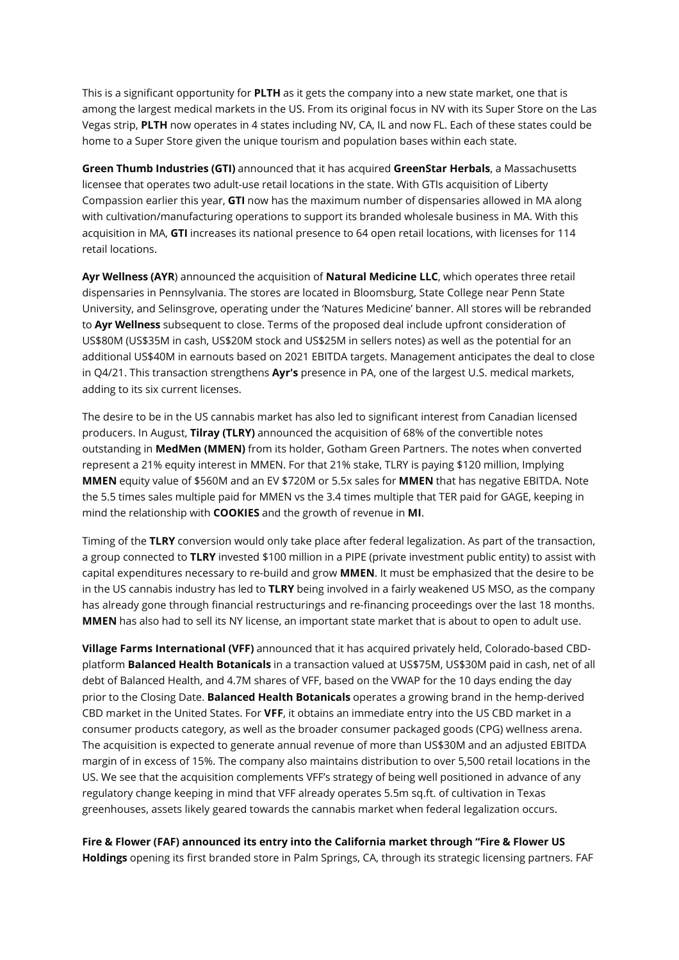This is a significant opportunity for **PLTH** as it gets the company into a new state market, one that is among the largest medical markets in the US. From its original focus in NV with its Super Store on the Las Vegas strip, **PLTH** now operates in 4 states including NV, CA, IL and now FL. Each of these states could be home to a Super Store given the unique tourism and population bases within each state.

**Green Thumb Industries (GTI)** announced that it has acquired **GreenStar Herbals**, a Massachusetts licensee that operates two adult-use retail locations in the state. With GTIs acquisition of Liberty Compassion earlier this year, **GTI** now has the maximum number of dispensaries allowed in MA along with cultivation/manufacturing operations to support its branded wholesale business in MA. With this acquisition in MA, **GTI** increases its national presence to 64 open retail locations, with licenses for 114 retail locations.

**Ayr Wellness (AYR**) announced the acquisition of **Natural Medicine LLC**, which operates three retail dispensaries in Pennsylvania. The stores are located in Bloomsburg, State College near Penn State University, and Selinsgrove, operating under the 'Natures Medicine' banner. All stores will be rebranded to **Ayr Wellness** subsequent to close. Terms of the proposed deal include upfront consideration of US\$80M (US\$35M in cash, US\$20M stock and US\$25M in sellers notes) as well as the potential for an additional US\$40M in earnouts based on 2021 EBITDA targets. Management anticipates the deal to close in Q4/21. This transaction strengthens **Ayr's** presence in PA, one of the largest U.S. medical markets, adding to its six current licenses.

The desire to be in the US cannabis market has also led to significant interest from Canadian licensed producers. In August, **Tilray (TLRY)** announced the acquisition of 68% of the convertible notes outstanding in **MedMen (MMEN)** from its holder, Gotham Green Partners. The notes when converted represent a 21% equity interest in MMEN. For that 21% stake, TLRY is paying \$120 million, Implying **MMEN** equity value of \$560M and an EV \$720M or 5.5x sales for **MMEN** that has negative EBITDA. Note the 5.5 times sales multiple paid for MMEN vs the 3.4 times multiple that TER paid for GAGE, keeping in mind the relationship with **COOKIES** and the growth of revenue in **MI**.

Timing of the **TLRY** conversion would only take place after federal legalization. As part of the transaction, a group connected to **TLRY** invested \$100 million in a PIPE (private investment public entity) to assist with capital expenditures necessary to re-build and grow **MMEN**. It must be emphasized that the desire to be in the US cannabis industry has led to **TLRY** being involved in a fairly weakened US MSO, as the company has already gone through financial restructurings and re-financing proceedings over the last 18 months. **MMEN** has also had to sell its NY license, an important state market that is about to open to adult use.

**Village Farms International (VFF)** announced that it has acquired privately held, Colorado-based CBDplatform **Balanced Health Botanicals** in a transaction valued at US\$75M, US\$30M paid in cash, net of all debt of Balanced Health, and 4.7M shares of VFF, based on the VWAP for the 10 days ending the day prior to the Closing Date. **Balanced Health Botanicals** operates a growing brand in the hemp-derived CBD market in the United States. For **VFF**, it obtains an immediate entry into the US CBD market in a consumer products category, as well as the broader consumer packaged goods (CPG) wellness arena. The acquisition is expected to generate annual revenue of more than US\$30M and an adjusted EBITDA margin of in excess of 15%. The company also maintains distribution to over 5,500 retail locations in the US. We see that the acquisition complements VFF's strategy of being well positioned in advance of any regulatory change keeping in mind that VFF already operates 5.5m sq.ft. of cultivation in Texas greenhouses, assets likely geared towards the cannabis market when federal legalization occurs.

**Fire & Flower (FAF) announced its entry into the California market through "Fire & Flower US** Holdings opening its first branded store in Palm Springs, CA, through its strategic licensing partners. FAF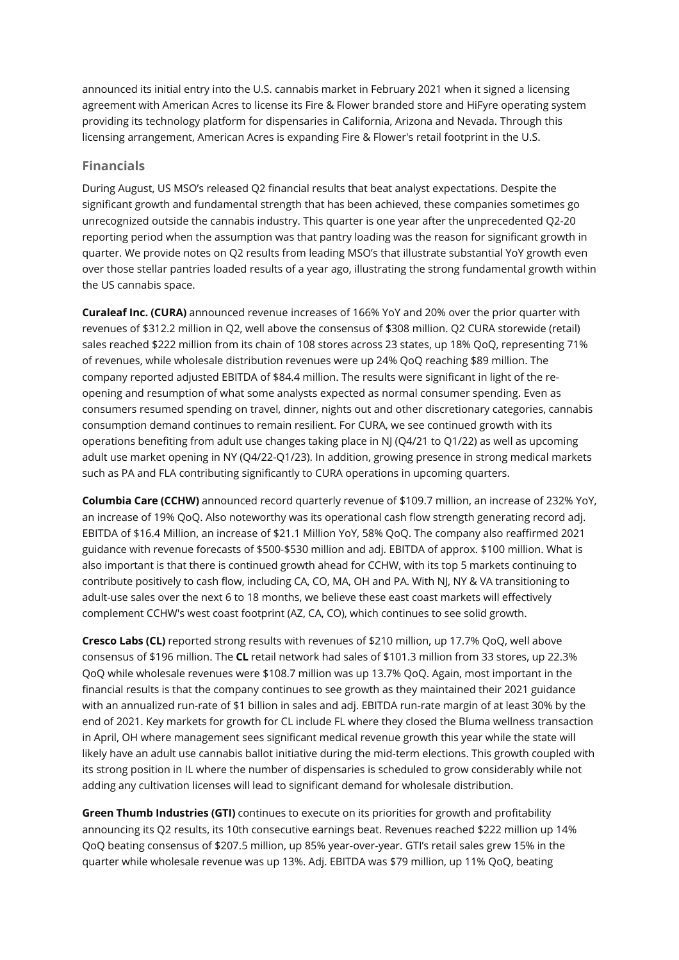announced its initial entry into the U.S. cannabis market in February 2021 when it signed a licensing agreement with American Acres to license its Fire & Flower branded store and HiFyre operating system providing its technology platform for dispensaries in California, Arizona and Nevada. Through this licensing arrangement, American Acres is expanding Fire & Flower's retail footprint in the U.S.

## **Financials**

During August, US MSO's released O2 financial results that beat analyst expectations. Despite the significant growth and fundamental strength that has been achieved, these companies sometimes go unrecognized outside the cannabis industry. This quarter is one year after the unprecedented Q2-20 reporting period when the assumption was that pantry loading was the reason for significant growth in quarter. We provide notes on Q2 results from leading MSO's that illustrate substantial YoY growth even over those stellar pantries loaded results of a year ago, illustrating the strong fundamental growth within the US cannabis space.

**Curaleaf Inc. (CURA)** announced revenue increases of 166% YoY and 20% over the prior quarter with revenues of \$312.2 million in Q2, well above the consensus of \$308 million. Q2 CURA storewide (retail) sales reached \$222 million from its chain of 108 stores across 23 states, up 18% QoQ, representing 71% of revenues, while wholesale distribution revenues were up 24% QoQ reaching \$89 million. The company reported adjusted EBITDA of \$84.4 million. The results were significant in light of the reopening and resumption of what some analysts expected as normal consumer spending. Even as consumers resumed spending on travel, dinner, nights out and other discretionary categories, cannabis consumption demand continues to remain resilient. For CURA, we see continued growth with its operations benefiting from adult use changes taking place in NJ (Q4/21 to Q1/22) as well as upcoming adult use market opening in NY (Q4/22-Q1/23). In addition, growing presence in strong medical markets such as PA and FLA contributing significantly to CURA operations in upcoming quarters.

**Columbia Care (CCHW)** announced record quarterly revenue of \$109.7 million, an increase of 232% YoY, an increase of 19% QoQ. Also noteworthy was its operational cash flow strength generating record adj. EBITDA of \$16.4 Million, an increase of \$21.1 Million YoY, 58% OoO. The company also reaffirmed 2021 guidance with revenue forecasts of \$500-\$530 million and adj. EBITDA of approx. \$100 million. What is also important is that there is continued growth ahead for CCHW, with its top 5 markets continuing to contribute positively to cash flow, including CA, CO, MA, OH and PA. With NJ, NY & VA transitioning to adult-use sales over the next 6 to 18 months, we believe these east coast markets will effectively complement CCHW's west coast footprint (AZ, CA, CO), which continues to see solid growth.

**Cresco Labs (CL)** reported strong results with revenues of \$210 million, up 17.7% QoQ, well above consensus of \$196 million. The **CL** retail network had sales of \$101.3 million from 33 stores, up 22.3% QoQ while wholesale revenues were \$108.7 million was up 13.7% QoQ. Again, most important in the financial results is that the company continues to see growth as they maintained their 2021 guidance with an annualized run-rate of \$1 billion in sales and adj. EBITDA run-rate margin of at least 30% by the end of 2021. Key markets for growth for CL include FL where they closed the Bluma wellness transaction in April, OH where management sees significant medical revenue growth this year while the state will likely have an adult use cannabis ballot initiative during the mid-term elections. This growth coupled with its strong position in IL where the number of dispensaries is scheduled to grow considerably while not adding any cultivation licenses will lead to significant demand for wholesale distribution.

**Green Thumb Industries (GTI)** continues to execute on its priorities for growth and profitability announcing its Q2 results, its 10th consecutive earnings beat. Revenues reached \$222 million up 14% QoQ beating consensus of \$207.5 million, up 85% year-over-year. GTI's retail sales grew 15% in the quarter while wholesale revenue was up 13%. Adj. EBITDA was \$79 million, up 11% QoQ, beating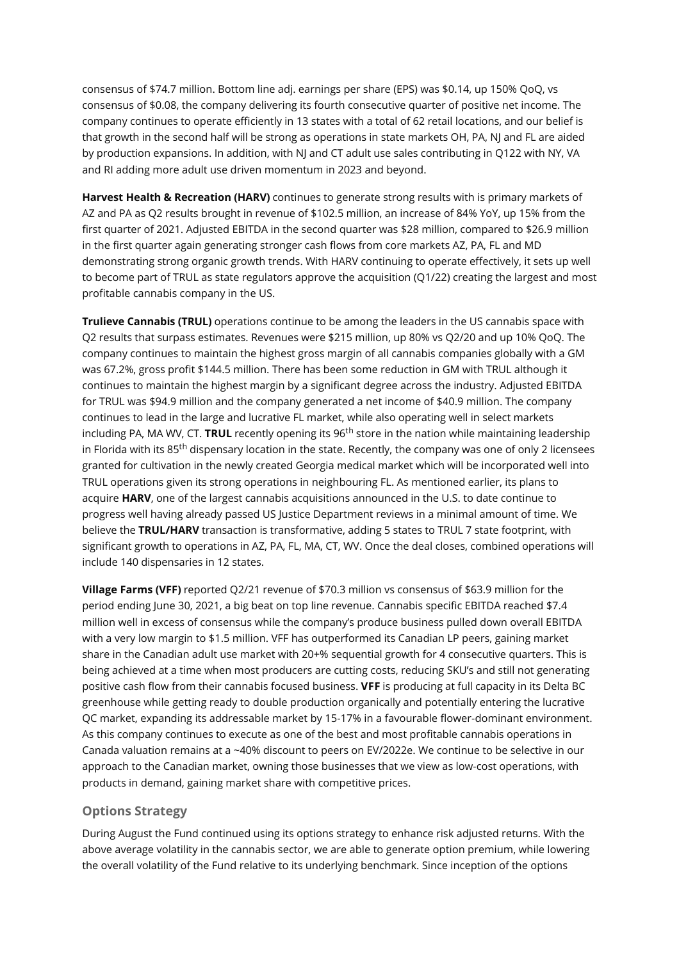consensus of \$74.7 million. Bottom line adj. earnings per share (EPS) was \$0.14, up 150% QoQ, vs consensus of \$0.08, the company delivering its fourth consecutive quarter of positive net income. The company continues to operate efficiently in 13 states with a total of 62 retail locations, and our belief is that growth in the second half will be strong as operations in state markets OH, PA, NJ and FL are aided by production expansions. In addition, with NJ and CT adult use sales contributing in Q122 with NY, VA and RI adding more adult use driven momentum in 2023 and beyond.

**Harvest Health & Recreation (HARV)** continues to generate strong results with is primary markets of AZ and PA as Q2 results brought in revenue of \$102.5 million, an increase of 84% YoY, up 15% from the first quarter of 2021. Adjusted EBITDA in the second quarter was \$28 million, compared to \$26.9 million in the first quarter again generating stronger cash flows from core markets AZ, PA, FL and MD demonstrating strong organic growth trends. With HARV continuing to operate effectively, it sets up well to become part of TRUL as state regulators approve the acquisition (Q1/22) creating the largest and most profitable cannabis company in the US.

**Trulieve Cannabis (TRUL)** operations continue to be among the leaders in the US cannabis space with Q2 results that surpass estimates. Revenues were \$215 million, up 80% vs Q2/20 and up 10% QoQ. The company continues to maintain the highest gross margin of all cannabis companies globally with a GM was 67.2%, gross profit \$144.5 million. There has been some reduction in GM with TRUL although it continues to maintain the highest margin by a significant degree across the industry. Adjusted EBITDA for TRUL was \$94.9 million and the company generated a net income of \$40.9 million. The company continues to lead in the large and lucrative FL market, while also operating well in select markets including PA, MA WV, CT. **TRUL** recently opening its 96<sup>th</sup> store in the nation while maintaining leadership in Florida with its 85<sup>th</sup> dispensary location in the state. Recently, the company was one of only 2 licensees granted for cultivation in the newly created Georgia medical market which will be incorporated well into TRUL operations given its strong operations in neighbouring FL. As mentioned earlier, its plans to acquire **HARV**, one of the largest cannabis acquisitions announced in the U.S. to date continue to progress well having already passed US Justice Department reviews in a minimal amount of time. We believe the **TRUL/HARV** transaction is transformative, adding 5 states to TRUL 7 state footprint, with significant growth to operations in AZ, PA, FL, MA, CT, WV. Once the deal closes, combined operations will include 140 dispensaries in 12 states.

**Village Farms (VFF)** reported Q2/21 revenue of \$70.3 million vs consensus of \$63.9 million for the period ending June 30, 2021, a big beat on top line revenue. Cannabis specific EBITDA reached \$7.4 million well in excess of consensus while the company's produce business pulled down overall EBITDA with a very low margin to \$1.5 million. VFF has outperformed its Canadian LP peers, gaining market share in the Canadian adult use market with 20+% sequential growth for 4 consecutive quarters. This is being achieved at a time when most producers are cutting costs, reducing SKU's and still not generating positive cash flow from their cannabis focused business. VFF is producing at full capacity in its Delta BC greenhouse while getting ready to double production organically and potentially entering the lucrative OC market, expanding its addressable market by 15-17% in a favourable flower-dominant environment. As this company continues to execute as one of the best and most profitable cannabis operations in Canada valuation remains at a ~40% discount to peers on EV/2022e. We continue to be selective in our approach to the Canadian market, owning those businesses that we view as low-cost operations, with products in demand, gaining market share with competitive prices.

# **Options Strategy**

During August the Fund continued using its options strategy to enhance risk adjusted returns. With the above average volatility in the cannabis sector, we are able to generate option premium, while lowering the overall volatility of the Fund relative to its underlying benchmark. Since inception of the options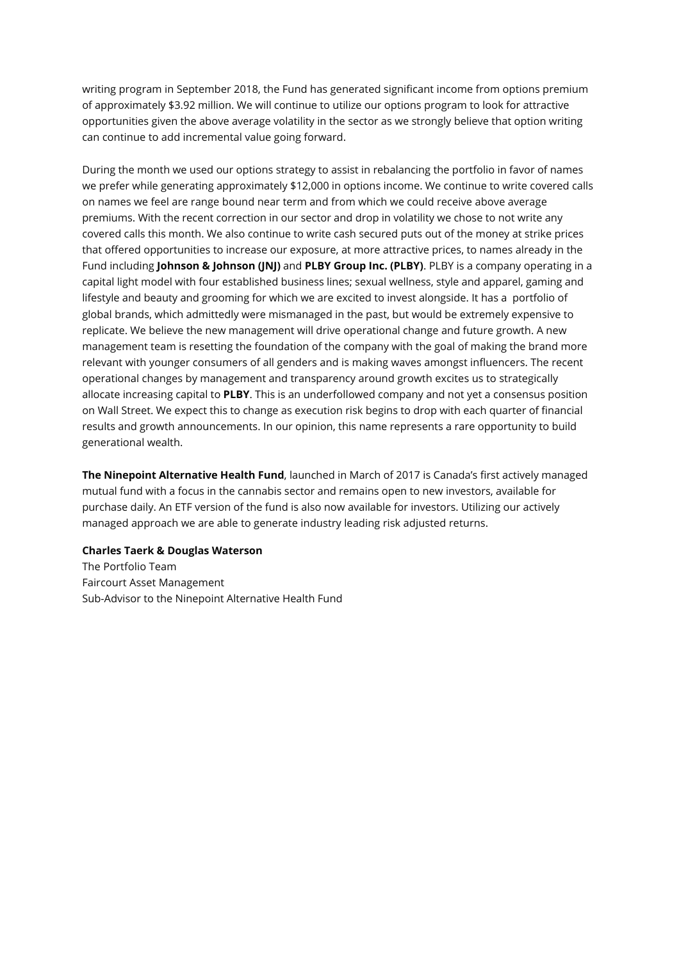writing program in September 2018, the Fund has generated significant income from options premium of approximately \$3.92 million. We will continue to utilize our options program to look for attractive opportunities given the above average volatility in the sector as we strongly believe that option writing can continue to add incremental value going forward.

During the month we used our options strategy to assist in rebalancing the portfolio in favor of names we prefer while generating approximately \$12,000 in options income. We continue to write covered calls on names we feel are range bound near term and from which we could receive above average premiums. With the recent correction in our sector and drop in volatility we chose to not write any covered calls this month. We also continue to write cash secured puts out of the money at strike prices that offered opportunities to increase our exposure, at more attractive prices, to names already in the Fund including **Johnson & Johnson (JNJ)** and **PLBY Group Inc. (PLBY)**. PLBY is a company operating in a capital light model with four established business lines; sexual wellness, style and apparel, gaming and lifestyle and beauty and grooming for which we are excited to invest alongside. It has a portfolio of global brands, which admittedly were mismanaged in the past, but would be extremely expensive to replicate. We believe the new management will drive operational change and future growth. A new management team is resetting the foundation of the company with the goal of making the brand more relevant with younger consumers of all genders and is making waves amongst influencers. The recent operational changes by management and transparency around growth excites us to strategically allocate increasing capital to **PLBY**. This is an underfollowed company and not yet a consensus position on Wall Street. We expect this to change as execution risk begins to drop with each quarter of financial results and growth announcements. In our opinion, this name represents a rare opportunity to build generational wealth.

**The Ninepoint Alternative Health Fund**, launched in March of 2017 is Canada's first actively managed mutual fund with a focus in the cannabis sector and remains open to new investors, available for purchase daily. An ETF version of the fund is also now available for investors. Utilizing our actively managed approach we are able to generate industry leading risk adjusted returns.

#### **Charles Taerk & Douglas Waterson**

The Portfolio Team Faircourt Asset Management Sub-Advisor to the Ninepoint Alternative Health Fund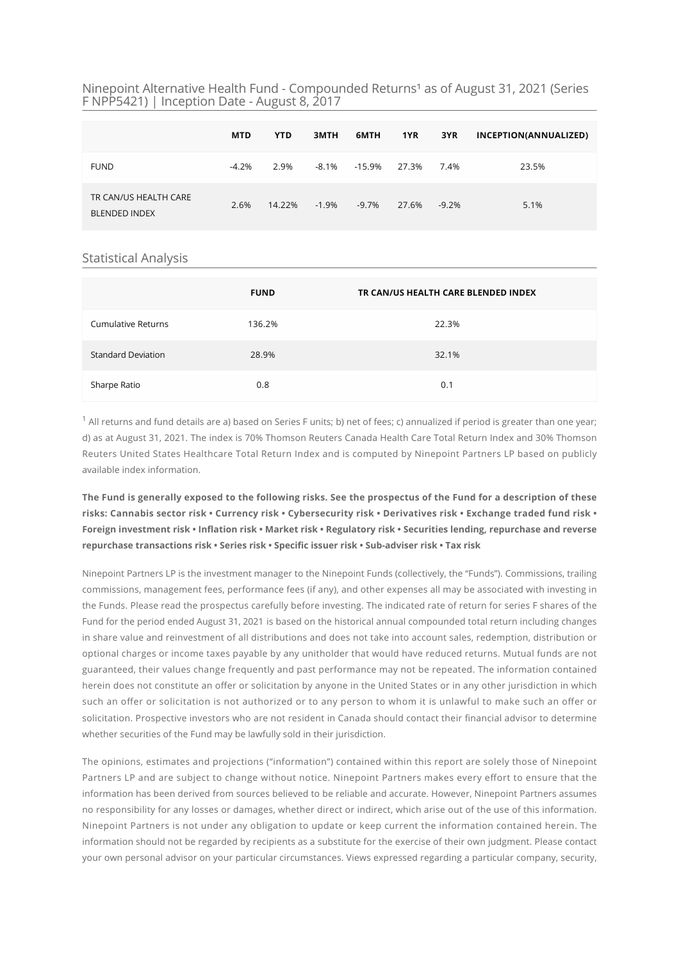#### Ninepoint Alternative Health Fund - Compounded Returns<sup>1</sup> as of August 31, 2021 (Series F NPP5421) | Inception Date - August 8, 2017

|                                               | <b>MTD</b> | <b>YTD</b> | 3MTH     | 6МТН     | 1YR   | 3YR      | INCEPTION(ANNUALIZED) |
|-----------------------------------------------|------------|------------|----------|----------|-------|----------|-----------------------|
| <b>FUND</b>                                   | $-4.2%$    | 2.9%       | $-8.1\%$ | $-15.9%$ | 27.3% | 7.4%     | 23.5%                 |
| TR CAN/US HEALTH CARE<br><b>BLENDED INDEX</b> | 2.6%       | 14.22%     | $-1.9\%$ | $-9.7\%$ | 27.6% | $-9.2\%$ | 5.1%                  |

# Statistical Analysis

|                           | <b>FUND</b> | TR CAN/US HEALTH CARE BLENDED INDEX |
|---------------------------|-------------|-------------------------------------|
| Cumulative Returns        | 136.2%      | 22.3%                               |
| <b>Standard Deviation</b> | 28.9%       | 32.1%                               |
| Sharpe Ratio              | 0.8         | 0.1                                 |

 $^1$  All returns and fund details are a) based on Series F units; b) net of fees; c) annualized if period is greater than one year; d) as at August 31, 2021. The index is 70% Thomson Reuters Canada Health Care Total Return Index and 30% Thomson Reuters United States Healthcare Total Return Index and is computed by Ninepoint Partners LP based on publicly available index information.

**The Fund is generally exposed to the following risks. See the prospectus of the Fund for a description of these risks: Cannabis sector risk • Currency risk • Cybersecurity risk • Derivatives risk • Exchange traded fund risk •** Foreign investment risk • Inflation risk • Market risk • Regulatory risk • Securities lending, repurchase and reverse repurchase transactions risk • Series risk • Specific issuer risk • Sub-adviser risk • Tax risk

Ninepoint Partners LP is the investment manager to the Ninepoint Funds (collectively, the "Funds"). Commissions, trailing commissions, management fees, performance fees (if any), and other expenses all may be associated with investing in the Funds. Please read the prospectus carefully before investing. The indicated rate of return for series F shares of the Fund for the period ended August 31, 2021 is based on the historical annual compounded total return including changes in share value and reinvestment of all distributions and does not take into account sales, redemption, distribution or optional charges or income taxes payable by any unitholder that would have reduced returns. Mutual funds are not guaranteed, their values change frequently and past performance may not be repeated. The information contained herein does not constitute an offer or solicitation by anyone in the United States or in any other jurisdiction in which such an offer or solicitation is not authorized or to any person to whom it is unlawful to make such an offer or solicitation. Prospective investors who are not resident in Canada should contact their financial advisor to determine whether securities of the Fund may be lawfully sold in their jurisdiction.

The opinions, estimates and projections ("information") contained within this report are solely those of Ninepoint Partners LP and are subject to change without notice. Ninepoint Partners makes every effort to ensure that the information has been derived from sources believed to be reliable and accurate. However, Ninepoint Partners assumes no responsibility for any losses or damages, whether direct or indirect, which arise out of the use of this information. Ninepoint Partners is not under any obligation to update or keep current the information contained herein. The information should not be regarded by recipients as a substitute for the exercise of their own judgment. Please contact your own personal advisor on your particular circumstances. Views expressed regarding a particular company, security,